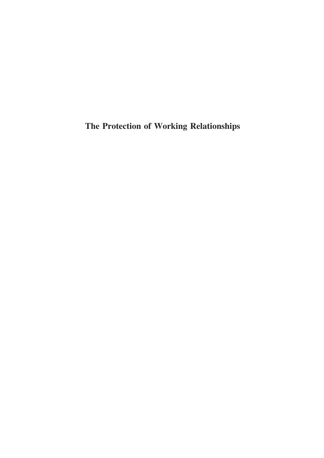The Protection of Working Relationships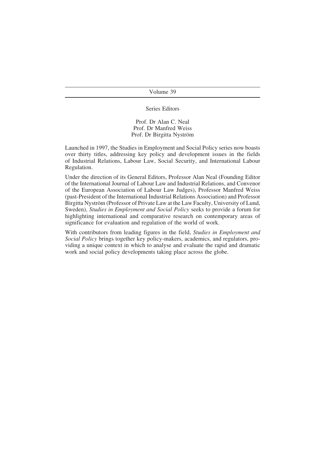#### Volume 39

#### Series Editors

Prof. Dr Alan C. Neal Prof. Dr Manfred Weiss Prof. Dr Birgitta Nyström

Launched in 1997, the Studies in Employment and Social Policy series now boasts over thirty titles, addressing key policy and development issues in the fields of Industrial Relations, Labour Law, Social Security, and International Labour Regulation.

Under the direction of its General Editors, Professor Alan Neal (Founding Editor of the International Journal of Labour Law and Industrial Relations, and Convenor of the European Association of Labour Law Judges), Professor Manfred Weiss (past-President of the International Industrial Relations Association) and Professor Birgitta Nyström (Professor of Private Law at the Law Faculty, University of Lund, Sweden), Studies in Employment and Social Policy seeks to provide a forum for highlighting international and comparative research on contemporary areas of significance for evaluation and regulation of the world of work.

With contributors from leading figures in the field, Studies in Employment and Social Policy brings together key policy-makers, academics, and regulators, providing a unique context in which to analyse and evaluate the rapid and dramatic work and social policy developments taking place across the globe.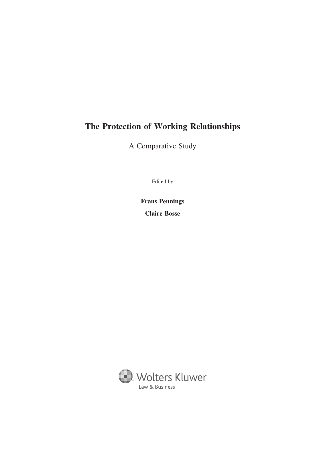# The Protection of Working Relationships

A Comparative Study

Edited by

Frans Pennings

Claire Bosse

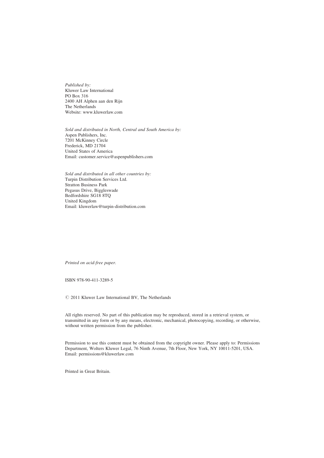Published by: Kluwer Law International PO Box 316 2400 AH Alphen aan den Rijn The Netherlands Website: www.kluwerlaw.com

Sold and distributed in North, Central and South America by: Aspen Publishers, Inc. 7201 McKinney Circle Frederick, MD 21704 United States of America Email: customer.service@aspenpublishers.com

Sold and distributed in all other countries by: Turpin Distribution Services Ltd. Stratton Business Park Pegasus Drive, Biggleswade Bedfordshire SG18 8TQ United Kingdom Email: kluwerlaw@turpin-distribution.com

Printed on acid-free paper.

ISBN 978-90-411-3289-5

 $© 2011 Kluwer Law International BV, The Netherlands$ 

All rights reserved. No part of this publication may be reproduced, stored in a retrieval system, or transmitted in any form or by any means, electronic, mechanical, photocopying, recording, or otherwise, without written permission from the publisher.

Permission to use this content must be obtained from the copyright owner. Please apply to: Permissions Department, Wolters Kluwer Legal, 76 Ninth Avenue, 7th Floor, New York, NY 10011-5201, USA. Email: permissions@kluwerlaw.com

Printed in Great Britain.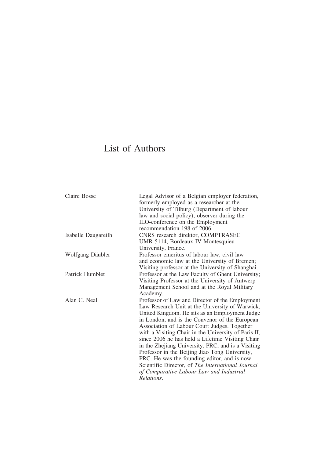# List of Authors

| Claire Bosse           | Legal Advisor of a Belgian employer federation,<br>formerly employed as a researcher at the |
|------------------------|---------------------------------------------------------------------------------------------|
|                        | University of Tilburg (Department of labour                                                 |
|                        | law and social policy); observer during the                                                 |
|                        | ILO-conference on the Employment                                                            |
|                        | recommendation 198 of 2006.                                                                 |
| Isabelle Daugareilh    | CNRS research direktor, COMPTRASEC                                                          |
|                        | UMR 5114, Bordeaux IV Montesquieu                                                           |
|                        | University, France.                                                                         |
| Wolfgang Däubler       | Professor emeritus of labour law, civil law                                                 |
|                        | and economic law at the University of Bremen;                                               |
|                        | Visiting professor at the University of Shanghai.                                           |
| <b>Patrick Humblet</b> | Professor at the Law Faculty of Ghent University;                                           |
|                        | Visiting Professor at the University of Antwerp                                             |
|                        | Management School and at the Royal Military                                                 |
|                        | Academy.                                                                                    |
| Alan C. Neal           | Professor of Law and Director of the Employment                                             |
|                        | Law Research Unit at the University of Warwick,                                             |
|                        | United Kingdom. He sits as an Employment Judge                                              |
|                        | in London, and is the Convenor of the European                                              |
|                        | Association of Labour Court Judges. Together                                                |
|                        | with a Visiting Chair in the University of Paris II,                                        |
|                        | since 2006 he has held a Lifetime Visiting Chair                                            |
|                        | in the Zhejiang University, PRC, and is a Visiting                                          |
|                        | Professor in the Beijing Jiao Tong University,                                              |
|                        | PRC. He was the founding editor, and is now                                                 |
|                        | Scientific Director, of The International Journal                                           |
|                        | of Comparative Labour Law and Industrial                                                    |
|                        | Relations.                                                                                  |
|                        |                                                                                             |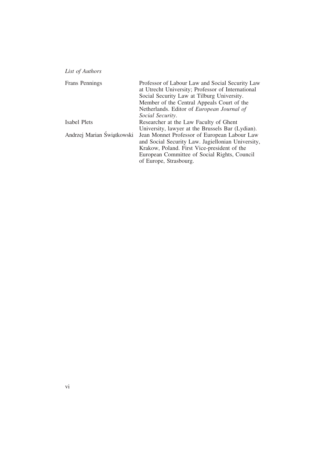| Frans Pennings             | Professor of Labour Law and Social Security Law   |
|----------------------------|---------------------------------------------------|
|                            | at Utrecht University; Professor of International |
|                            | Social Security Law at Tilburg University.        |
|                            | Member of the Central Appeals Court of the        |
|                            | Netherlands. Editor of <i>European Journal of</i> |
|                            | <i>Social Security.</i>                           |
| Isabel Plets               | Researcher at the Law Faculty of Ghent            |
|                            | University, lawyer at the Brussels Bar (Lydian).  |
| Andrzej Marian Świątkowski | Jean Monnet Professor of European Labour Law      |
|                            | and Social Security Law. Jagiellonian University, |
|                            | Krakow, Poland. First Vice-president of the       |
|                            | European Committee of Social Rights, Council      |
|                            | of Europe, Strasbourg.                            |
|                            |                                                   |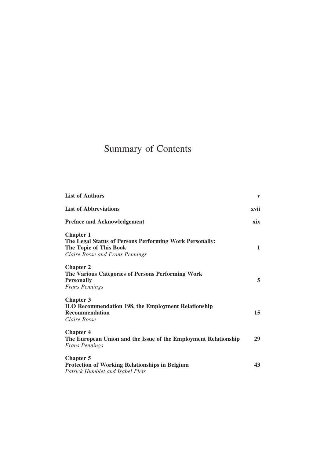# Summary of Contents

| <b>List of Authors</b>                                                                                                                   | $\mathbf{V}$ |
|------------------------------------------------------------------------------------------------------------------------------------------|--------------|
| <b>List of Abbreviations</b>                                                                                                             | xvii         |
| <b>Preface and Acknowledgement</b>                                                                                                       | xix          |
| <b>Chapter 1</b><br>The Legal Status of Persons Performing Work Personally:<br>The Topic of This Book<br>Claire Bosse and Frans Pennings | 1            |
| <b>Chapter 2</b><br>The Various Categories of Persons Performing Work<br><b>Personally</b><br><b>Frans Pennings</b>                      | 5            |
| <b>Chapter 3</b><br><b>ILO Recommendation 198, the Employment Relationship</b><br><b>Recommendation</b><br>Claire Bosse                  | 15           |
| <b>Chapter 4</b><br>The European Union and the Issue of the Employment Relationship<br><b>Frans Pennings</b>                             | 29           |
| <b>Chapter 5</b><br><b>Protection of Working Relationships in Belgium</b><br><b>Patrick Humblet and Isabel Plets</b>                     | 43           |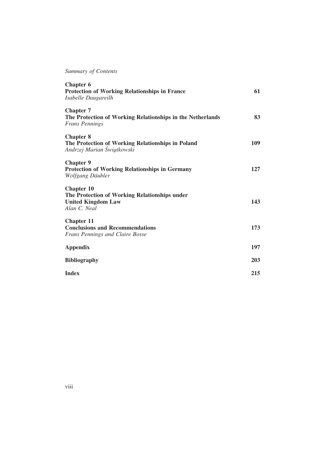# Summary of Contents

| <b>Chapter 6</b><br><b>Protection of Working Relationships in France</b><br>Isabelle Daugareilh                 | 61         |
|-----------------------------------------------------------------------------------------------------------------|------------|
| <b>Chapter 7</b><br>The Protection of Working Relationships in the Netherlands<br><b>Frans Pennings</b>         | 83         |
| <b>Chapter 8</b><br>The Protection of Working Relationships in Poland<br>Andrzej Marian Świątkowski             | 109        |
| <b>Chapter 9</b><br><b>Protection of Working Relationships in Germany</b><br>Wolfgang Däubler                   | 127        |
| <b>Chapter 10</b><br>The Protection of Working Relationships under<br><b>United Kingdom Law</b><br>Alan C. Neal | 143        |
| <b>Chapter 11</b><br><b>Conclusions and Recommendations</b><br><b>Frans Pennings and Claire Bosse</b>           | 173        |
| <b>Appendix</b>                                                                                                 | 197        |
| <b>Bibliography</b>                                                                                             | <b>203</b> |
| <b>Index</b>                                                                                                    | 215        |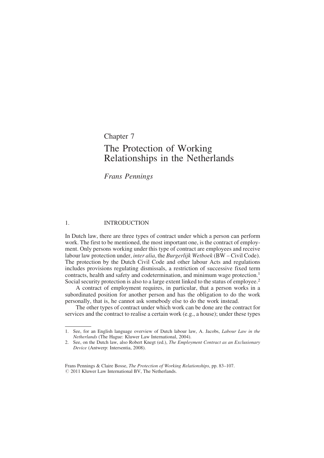# Chapter 7 The Protection of Working Relationships in the Netherlands

Frans Pennings

#### 1. INTRODUCTION

In Dutch law, there are three types of contract under which a person can perform work. The first to be mentioned, the most important one, is the contract of employment. Only persons working under this type of contract are employees and receive labour law protection under, *inter alia*, the *Burgerlijk Wetboek* (BW – Civil Code). The protection by the Dutch Civil Code and other labour Acts and regulations includes provisions regulating dismissals, a restriction of successive fixed term contracts, health and safety and codetermination, and minimum wage protection.<sup>1</sup> Social security protection is also to a large extent linked to the status of employee.<sup>2</sup>

A contract of employment requires, in particular, that a person works in a subordinated position for another person and has the obligation to do the work personally, that is, he cannot ask somebody else to do the work instead.

The other types of contract under which work can be done are the contract for services and the contract to realise a certain work (e.g., a house); under these types

<sup>1.</sup> See, for an English language overview of Dutch labour law, A. Jacobs, Labour Law in the Netherlands (The Hague: Kluwer Law International, 2004).

<sup>2.</sup> See, on the Dutch law, also Robert Knegt (ed.), The Employment Contract as an Exclusionary Device (Antwerp: Intersentia, 2008).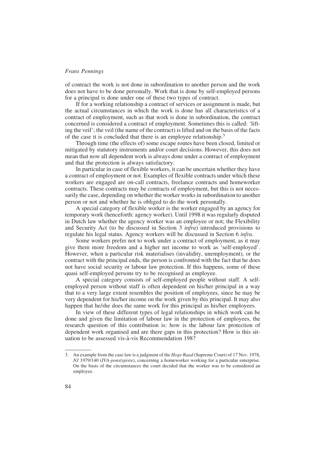of contract the work is not done in subordination to another person and the work does not have to be done personally. Work that is done by self-employed persons for a principal is done under one of these two types of contract.

If for a working relationship a contract of services or assignment is made, but the actual circumstances in which the work is done has all characteristics of a contract of employment, such as that work is done in subordination, the contract concerned is considered a contract of employment. Sometimes this is called: 'lifting the veil'; the veil (the name of the contract) is lifted and on the basis of the facts of the case it is concluded that there is an employee relationship.3

Through time (the effects of) some escape routes have been closed, limited or mitigated by statutory instruments and/or court decisions. However, this does not mean that now all dependent work is always done under a contract of employment and that the protection is always satisfactory.

In particular in case of flexible workers, it can be uncertain whether they have a contract of employment or not. Examples of flexible contracts under which these workers are engaged are on-call contracts, freelance contracts and homeworker contracts. These contracts may be contracts of employment, but this is not necessarily the case, depending on whether the worker works in subordination to another person or not and whether he is obliged to do the work personally.

A special category of flexible worker is the worker engaged by an agency for temporary work (henceforth: agency worker). Until 1998 it was regularly disputed in Dutch law whether the agency worker was an employee or not; the Flexibility and Security Act (to be discussed in Section 3 infra) introduced provisions to regulate his legal status. Agency workers will be discussed in Section 6 infra.

Some workers prefer not to work under a contract of employment, as it may give them more freedom and a higher net income to work as 'self-employed'. However, when a particular risk materialises (invalidity, unemployment), or the contract with the principal ends, the person is confronted with the fact that he does not have social security or labour law protection. If this happens, some of these quasi self-employed persons try to be recognised as employee.

A special category consists of self-employed people without staff. A selfemployed person without staff is often dependent on his/her principal in a way that to a very large extent resembles the position of employees, since he may be very dependent for his/her income on the work given by this principal. It may also happen that he/she does the same work for this principal as his/her employees.

In view of these different types of legal relationships in which work can be done and given the limitation of labour law in the protection of employees, the research question of this contribution is: how is the labour law protection of dependent work organised and are there gaps in this protection? How is this situation to be assessed vis-à-vis Recommendation 198?

<sup>3.</sup> An example from the case law is a judgment of the *Hoge Raad* (Supreme Court) of 17 Nov. 1978, NJ 1979/140 (IVA-ponstypiste), concerning a homeworker working for a particular enterprise. On the basis of the circumstances the court decided that the worker was to be considered an employee.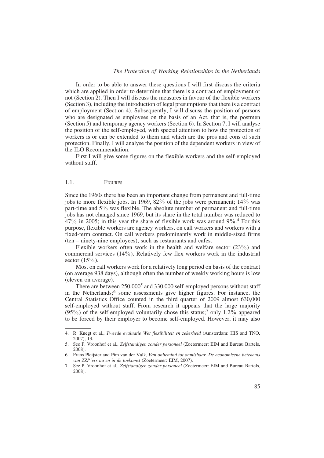In order to be able to answer these questions I will first discuss the criteria which are applied in order to determine that there is a contract of employment or not (Section 2). Then I will discuss the measures in favour of the flexible workers (Section 3), including the introduction of legal presumptions that there is a contract of employment (Section 4). Subsequently, I will discuss the position of persons who are designated as employees on the basis of an Act, that is, the postmen (Section 5) and temporary agency workers (Section 6). In Section 7, I will analyse the position of the self-employed, with special attention to how the protection of workers is or can be extended to them and which are the pros and cons of such protection. Finally, I will analyse the position of the dependent workers in view of the ILO Recommendation.

First I will give some figures on the flexible workers and the self-employed without staff

#### 1.1 **FIGURES**

Since the 1960s there has been an important change from permanent and full-time jobs to more flexible jobs. In 1969, 82% of the jobs were permanent; 14% was part-time and 5% was flexible. The absolute number of permanent and full-time jobs has not changed since 1969, but its share in the total number was reduced to 47% in 2005; in this year the share of flexible work was around 9%. <sup>4</sup> For this purpose, flexible workers are agency workers, on call workers and workers with a fixed-term contract. On call workers predominantly work in middle-sized firms (ten – ninety-nine employees), such as restaurants and cafes.

Flexible workers often work in the health and welfare sector  $(23\%)$  and commercial services (14%). Relatively few flex workers work in the industrial sector  $(15\%)$ .

Most on call workers work for a relatively long period on basis of the contract (on average 938 days), although often the number of weekly working hours is low (eleven on average).

There are between 250,000<sup>5</sup> and 330,000 self-employed persons without staff in the Netherlands;<sup>6</sup> some assessments give higher figures. For instance, the Central Statistics Office counted in the third quarter of 2009 almost 630,000 self-employed without staff. From research it appears that the large majority  $(95\%)$  of the self-employed voluntarily chose this status;<sup>7</sup> only 1.2% appeared to be forced by their employer to become self-employed. However, it may also

<sup>4.</sup> R. Knegt et al., Tweede evaluatie Wet flexibiliteit en zekerheid (Amsterdam: HIS and TNO, 2007), 13.

<sup>5.</sup> See P. Vroonhof et al., Zelfstandigen zonder personeel (Zoetermeer: EIM and Bureau Bartels, 2008).

<sup>6.</sup> Frans Pleijster and Pim van der Valk, Van onbemind tot onmisbaar. De economische betekenis van ZZP'ers nu en in de toekomst (Zoetermeer: EIM, 2007).

<sup>7.</sup> See P. Vroonhof et al., Zelfstandigen zonder personeel (Zoetermeer: EIM and Bureau Bartels, 2008).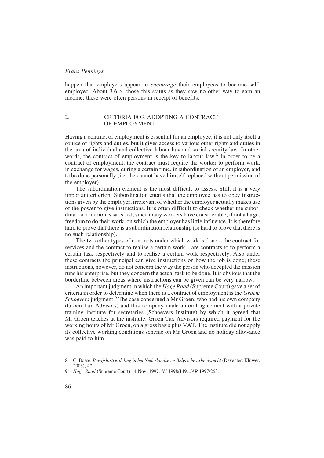happen that employers appear to *encourage* their employees to become selfemployed. About 3.6% chose this status as they saw no other way to earn an income; these were often persons in receipt of benefits.

# 2. CRITERIA FOR ADOPTING A CONTRACT OF EMPLOYMENT

Having a contract of employment is essential for an employee; it is not only itself a source of rights and duties, but it gives access to various other rights and duties in the area of individual and collective labour law and social security law. In other words, the contract of employment is the key to labour law.<sup>8</sup> In order to be a contract of employment, the contract must require the worker to perform work, in exchange for wages, during a certain time, in subordination of an employer, and to be done personally (i.e., he cannot have himself replaced without permission of the employer).

The subordination element is the most difficult to assess. Still, it is a very important criterion. Subordination entails that the employee has to obey instructions given by the employer, irrelevant of whether the employer actually makes use of the power to give instructions. It is often difficult to check whether the subordination criterion is satisfied, since many workers have considerable, if not a large, freedom to do their work, on which the employer has little influence. It is therefore hard to prove that there is a subordination relationship (or hard to prove that there is no such relationship).

The two other types of contracts under which work is done – the contract for services and the contract to realise a certain work – are contracts to to perform a certain task respectively and to realise a certain work respectively. Also under these contracts the principal can give instructions on how the job is done; these instructions, however, do not concern the way the person who accepted the mission runs his enterprise, but they concern the actual task to be done. It is obvious that the borderline between areas where instructions can be given can be very narrow.

An important judgment in which the *Hoge Raad* (Supreme Court) gave a set of criteria in order to determine when there is a contract of employment is the *Groen*/ Schoevers judgment.<sup>9</sup> The case concerned a Mr Groen, who had his own company (Groen Tax Advisors) and this company made an oral agreement with a private training institute for secretaries (Schoevers Institute) by which it agreed that Mr Groen teaches at the institute. Groen Tax Advisors required payment for the working hours of Mr Groen, on a gross basis plus VAT. The institute did not apply its collective working conditions scheme on Mr Groen and no holiday allowance was paid to him.

<sup>8.</sup> C. Bosse, Bewijslastverdeling in het Nederlandse en Belgische arbeidsrecht (Deventer: Kluwer, 2003), 47.

<sup>9.</sup> Hoge Raad (Supreme Court) 14 Nov. 1997, NJ 1998/149; JAR 1997/263.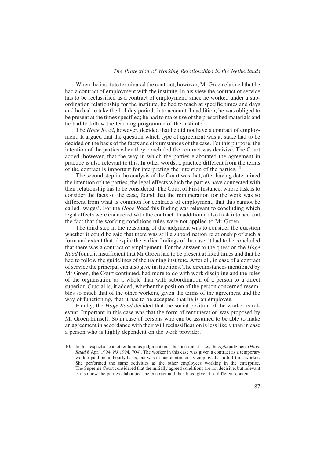#### The Protection of Working Relationships in the Netherlands

When the institute terminated the contract, however, Mr Groen claimed that he had a contract of employment with the institute. In his view the contract of service has to be reclassified as a contract of employment, since he worked under a subordination relationship for the institute, he had to teach at specific times and days and he had to take the holiday periods into account. In addition, he was obliged to be present at the times specified; he had to make use of the prescribed materials and he had to follow the teaching programme of the institute.

The *Hoge Raad*, however, decided that he did not have a contract of employment. It argued that the question which type of agreement was at stake had to be decided on the basis of the facts and circumstances of the case. For this purpose, the intention of the parties when they concluded the contract was decisive. The Court added, however, that the way in which the parties elaborated the agreement in practice is also relevant to this. In other words, a practice different from the terms of the contract is important for interpreting the intention of the parties.<sup>10</sup>

The second step in the analysis of the Court was that, after having determined the intention of the parties, the legal effects which the parties have connected with their relationship has to be considered. The Court of First Instance, whose task is to consider the facts of the case, found that the remuneration for the work was so different from what is common for contracts of employment, that this cannot be called 'wages'. For the *Hoge Raad* this finding was relevant to concluding which legal effects were connected with the contract. In addition it also took into account the fact that the working conditions rules were not applied to Mr Groen.

The third step in the reasoning of the judgment was to consider the question whether it could be said that there was still a subordination relationship of such a form and extent that, despite the earlier findings of the case, it had to be concluded that there was a contract of employment. For the answer to the question the *Hoge* Raad found it insufficient that Mr Groen had to be present at fixed times and that he had to follow the guidelines of the training institute. After all, in case of a contract of service the principal can also give instructions. The circumstances mentioned by Mr Groen, the Court continued, had more to do with work discipline and the rules of the organisation as a whole than with subordination of a person to a direct superior. Crucial is, it added, whether the position of the person concerned resembles so much that of the other workers, given the terms of the agreement and the way of functioning, that it has to be accepted that he is an employee.

Finally, the *Hoge Raad* decided that the social position of the worker is relevant. Important in this case was that the form of remuneration was proposed by Mr Groen himself. So in case of persons who can be assumed to be able to make an agreement in accordance with their will reclassification is less likely than in case a person who is highly dependent on the work provider.

<sup>10.</sup> In this respect also another famous judgment must be mentioned  $-i.e.,$  the Agfa judgment (Hoge Raad 8 Apr. 1994, NJ 1994, 704). The worker in this case was given a contract as a temporary worker paid on an hourly basis, but was in fact continuously employed as a full-time worker. She performed the same activities as the other employees working in the enterprise. The Supreme Court considered that the initially agreed conditions are not decisive, but relevant is also how the parties elaborated the contract and thus have given it a different content.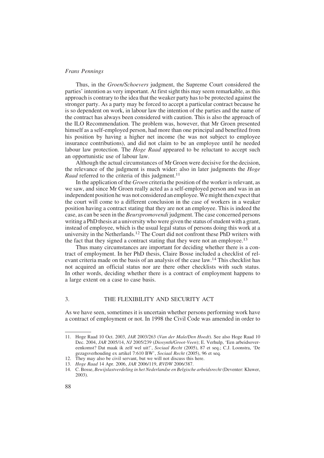Thus, in the Groen/Schoevers judgment, the Supreme Court considered the parties' intention as very important. At first sight this may seem remarkable, as this approach is contrary to the idea that the weaker party has to be protected against the stronger party. As a party may be forced to accept a particular contract because he is so dependent on work, in labour law the intention of the parties and the name of the contract has always been considered with caution. This is also the approach of the ILO Recommendation. The problem was, however, that Mr Groen presented himself as a self-employed person, had more than one principal and benefited from his position by having a higher net income (he was not subject to employee insurance contributions), and did not claim to be an employee until he needed labour law protection. The *Hoge Raad* appeared to be reluctant to accept such an opportunistic use of labour law.

Although the actual circumstances of Mr Groen were decisive for the decision, the relevance of the judgment is much wider: also in later judgments the *Hoge* Raad referred to the criteria of this judgment.<sup>11</sup>

In the application of the *Groen* criteria the position of the worker is relevant, as we saw, and since Mr Groen really acted as a self-employed person and was in an independent position he was not considered an employee.We might then expect that the court will come to a different conclusion in the case of workers in a weaker position having a contract stating that they are not an employee. This is indeed the case, as can be seen in the Beurspromovendi judgment. The case concerned persons writing a PhD thesis at a university who were given the status of student with a grant, instead of employee, which is the usual legal status of persons doing this work at a university in the Netherlands.12 The Court did not confront these PhD writers with the fact that they signed a contract stating that they were not an employee.<sup>13</sup>

Thus many circumstances are important for deciding whether there is a contract of employment. In her PhD thesis, Claire Bosse included a checklist of relevant criteria made on the basis of an analysis of the case law.<sup>14</sup> This checklist has not acquired an official status nor are there other checklists with such status. In other words, deciding whether there is a contract of employment happens to a large extent on a case to case basis.

# 3. THE FLEXIBILITY AND SECURITY ACT

As we have seen, sometimes it is uncertain whether persons performing work have a contract of employment or not. In 1998 the Civil Code was amended in order to

<sup>11.</sup> Hoge Raad 10 Oct. 2003, JAR 2003/263 (Van der Male/Den Hoedt). See also Hoge Raad 10 Dec. 2004, JAR 2005/14, NJ 2005/239 (Diosynth/Groot-Veen); E. Verhulp, 'Een arbeidsovereenkomst? Dat maak ik zelf wel uit!', Sociaal Recht (2005), 87 et seq.; C.J. Loonstra, 'De gezagsverhouding ex artikel 7:610 BW', Sociaal Recht (2005), 96 et seq.

<sup>12.</sup> They may also be civil servant, but we will not discuss this here.

<sup>13.</sup> Hoge Raad 14 Apr. 2006, JAR 2006/119, RVDW 2006/387.

<sup>14.</sup> C. Bosse, Bewijslastverdeling in het Nederlandse en Belgische arbeidsrecht (Deventer: Kluwer, 2003).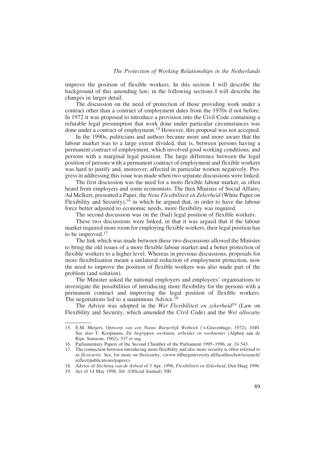improve the position of flexible workers. In this section I will describe the background of this amending law; in the following sections I will describe the changes in larger detail.

The discussion on the need of protection of those providing work under a contract other than a contract of employment dates from the 1970s if not before. In 1972 it was proposed to introduce a provision into the Civil Code containing a refutable legal presumption that work done under particular circumstances was done under a contract of employment.15 However, this proposal was not accepted.

In the 1990s, politicians and authors became more and more aware that the labour market was to a large extent divided, that is, between persons having a permanent contract of employment, which involved good working conditions, and persons with a marginal legal position. The large difference between the legal position of persons with a permanent contract of employment and flexible workers was hard to justify and, moreover, affected in particular women negatively. Progress in addressing this issue was made when two separate discussions were linked.

The first discussion was the need for a more flexible labour market, as often heard from employers and some economists. The then Minister of Social Affairs, Ad Melkert, presented a Paper, the Nota Flexibiliteit en Zekerheid (White Paper on Flexibility and Security),<sup>16</sup> in which he argued that, in order to have the labour force better adjusted to economic needs, more flexibility was required.

The second discussion was on the (bad) legal position of flexible workers.

These two discussions were linked, in that it was argued that if the labour market required more room for employing flexible workers, their legal position has to be improved.<sup>17</sup>

The link which was made between these two discussions allowed the Minister to bring the old issues of a more flexible labour market and a better protection of flexible workers to a higher level. Whereas in previous discussions, proposals for more flexibilisation meant a unilateral reduction of employment protection, now the need to improve the position of flexible workers was also made part of the problem (and solution).

The Minister asked the national employers and employees' organisations to investigate the possibilities of introducing more flexibility for the persons with a permanent contract and improving the legal position of flexible workers. The negotiations led to a unanimous Advice.<sup>18</sup>

The Advice was adopted in the Wet Flexibiliteit en zekerheid<sup>19</sup> (Law on Flexibility and Security, which amended the Civil Code) and the Wet allocatie

<sup>15.</sup> E.M. Meijers, Ontwerp van een Nieuw Burgerlijk Wetboek ('s-Gravenhage, 1972), 1040. See also T. Koopmans, De begrippen werkman, arbeider en werknemer (Alphen aan de Rijn: Samsom, 1962), 337 et seq.

<sup>16.</sup> Parliamentary Papers of the Second Chamber of the Parliament 1995–1996, nr. 24 543.

<sup>17.</sup> The connection between introducing more flexibility and also more security is often referred to as *flexicurity*. See, for more on flexicurity, <www.tilburguniversity.nl/faculties/law/research/ reflect/publications/papers>.

<sup>18.</sup> Advice of Stichting van de Arbeid of 3 Apr. 1996, Flexibiliteit en Zekerheid, Den Haag 1996.

<sup>19.</sup> Act of 14 May 1998, Stb. (Official Journal) 300.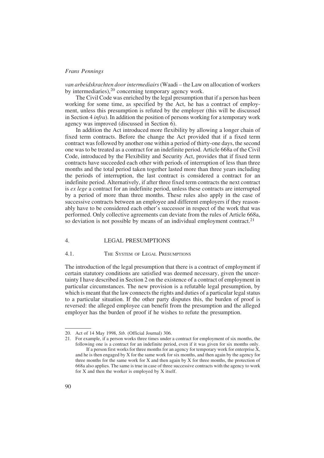van arbeidskrachten door intermediairs(Waadi – the Law on allocation of workers by intermediaries),20 concerning temporary agency work.

The Civil Code was enriched by the legal presumption that if a person has been working for some time, as specified by the Act, he has a contract of employment, unless this presumption is refuted by the employer (this will be discussed in Section 4 infra). In addition the position of persons working for a temporary work agency was improved (discussed in Section 6).

In addition the Act introduced more flexibility by allowing a longer chain of fixed term contracts. Before the change the Act provided that if a fixed term contract was followed by another one within a period of thirty-one days, the second one was to be treated as a contract for an indefinite period. Article 668a of the Civil Code, introduced by the Flexibility and Security Act, provides that if fixed term contracts have succeeded each other with periods of interruption of less than three months and the total period taken together lasted more than three years including the periods of interruption, the last contract is considered a contract for an indefinite period. Alternatively, if after three fixed term contracts the next contract is ex lege a contract for an indefinite period, unless these contracts are interrupted by a period of more than three months. These rules also apply in the case of successive contracts between an employee and different employers if they reasonably have to be considered each other's successor in respect of the work that was performed. Only collective agreements can deviate from the rules of Article 668a, so deviation is not possible by means of an individual employment contract.<sup>21</sup>

# 4. LEGAL PRESUMPTIONS

#### 4.1. THE SYSTEM OF LEGAL PRESUMPTIONS

The introduction of the legal presumption that there is a contract of employment if certain statutory conditions are satisfied was deemed necessary, given the uncertainty I have described in Section 2 on the existence of a contract of employment in particular circumstances. The new provision is a refutable legal presumption, by which is meant that the law connects the rights and duties of a particular legal status to a particular situation. If the other party disputes this, the burden of proof is reversed: the alleged employee can benefit from the presumption and the alleged employer has the burden of proof if he wishes to refute the presumption.

<sup>20.</sup> Act of 14 May 1998, Stb. (Official Journal) 306.

<sup>21.</sup> For example, if a person works three times under a contract for employment of six months, the following one is a contract for an indefinite period, even if it was given for six months only. If a person first works for three months for an agency for temporary work for enterprise X, and he is then engaged by X for the same work for six months, and then again by the agency for three months for the same work for X and then again by X for three months, the protection of 668a also applies. The same is true in case of three successive contracts with the agency to work for X and then the worker is employed by X itself.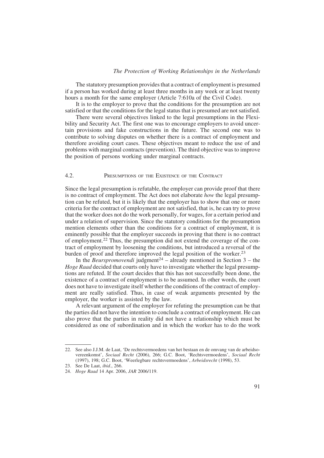#### The Protection of Working Relationships in the Netherlands

The statutory presumption provides that a contract of employment is presumed if a person has worked during at least three months in any week or at least twenty hours a month for the same employer (Article 7:610a of the Civil Code).

It is to the employer to prove that the conditions for the presumption are not satisfied or that the conditions for the legal status that is presumed are not satisfied.

There were several objectives linked to the legal presumptions in the Flexibility and Security Act. The first one was to encourage employers to avoid uncertain provisions and fake constructions in the future. The second one was to contribute to solving disputes on whether there is a contract of employment and therefore avoiding court cases. These objectives meant to reduce the use of and problems with marginal contracts (prevention). The third objective was to improve the position of persons working under marginal contracts.

#### 4.2. PRESUMPTIONS OF THE EXISTENCE OF THE CONTRACT

Since the legal presumption is refutable, the employer can provide proof that there is no contract of employment. The Act does not elaborate how the legal presumption can be refuted, but it is likely that the employer has to show that one or more criteria for the contract of employment are not satisfied, that is, he can try to prove that the worker does not do the work personally, for wages, for a certain period and under a relation of supervision. Since the statutory conditions for the presumption mention elements other than the conditions for a contract of employment, it is eminently possible that the employer succeeds in proving that there is no contract of employment.22 Thus, the presumption did not extend the coverage of the contract of employment by loosening the conditions, but introduced a reversal of the burden of proof and therefore improved the legal position of the worker.<sup>23</sup>

In the Beurspromovendi judgment<sup>24</sup> – already mentioned in Section  $3$  – the Hoge Raad decided that courts only have to investigate whether the legal presumptions are refuted. If the court decides that this has not successfully been done, the existence of a contract of employment is to be assumed. In other words, the court does not have to investigate itself whether the conditions of the contract of employment are really satisfied. Thus, in case of weak arguments presented by the employer, the worker is assisted by the law.

A relevant argument of the employer for refuting the presumption can be that the parties did not have the intention to conclude a contract of employment. He can also prove that the parties in reality did not have a relationship which must be considered as one of subordination and in which the worker has to do the work

<sup>22.</sup> See also J.J.M. de Laat, 'De rechtsvermoedens van het bestaan en de omvang van de arbeidsovereenkomst', Sociaal Recht (2006), 266; G.C. Boot, 'Rechtsvermoedens', Sociaal Recht (1997), 198; G.C. Boot, 'Weerlegbare rechtsvermoedens', Arbeidsrecht (1998), 53.

<sup>23.</sup> See De Laat, ibid., 266.

<sup>24.</sup> Hoge Raad 14 Apr. 2006, JAR 2006/119.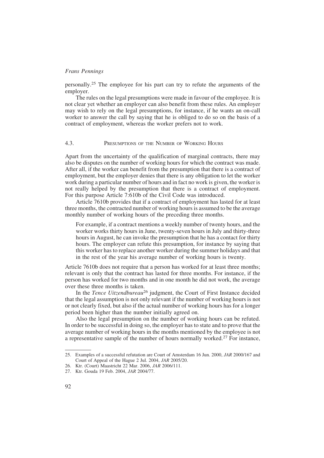personally.25 The employee for his part can try to refute the arguments of the employer.

The rules on the legal presumptions were made in favour of the employee. It is not clear yet whether an employer can also benefit from these rules. An employer may wish to rely on the legal presumptions, for instance, if he wants an on-call worker to answer the call by saying that he is obliged to do so on the basis of a contract of employment, whereas the worker prefers not to work.

#### 4.3. PRESUMPTIONS OF THE NUMBER OF WORKING HOURS

Apart from the uncertainty of the qualification of marginal contracts, there may also be disputes on the number of working hours for which the contract was made. After all, if the worker can benefit from the presumption that there is a contract of employment, but the employer denies that there is any obligation to let the worker work during a particular number of hours and in fact no work is given, the worker is not really helped by the presumption that there is a contract of employment. For this purpose Article 7:610b of the Civil Code was introduced.

Article 7610b provides that if a contract of employment has lasted for at least three months, the contracted number of working hours is assumed to be the average monthly number of working hours of the preceding three months.

For example, if a contract mentions a weekly number of twenty hours, and the worker works thirty hours in June, twenty-seven hours in July and thirty-three hours in August, he can invoke the presumption that he has a contact for thirty hours. The employer can refute this presumption, for instance by saying that this worker has to replace another worker during the summer holidays and that in the rest of the year his average number of working hours is twenty.

Article 7610b does not require that a person has worked for at least three months; relevant is only that the contract has lasted for three months. For instance, if the person has worked for two months and in one month he did not work, the average over these three months is taken.

In the *Tence Uitzendbureau*<sup>26</sup> judgment, the Court of First Instance decided that the legal assumption is not only relevant if the number of working hours is not or not clearly fixed, but also if the actual number of working hours has for a longer period been higher than the number initially agreed on.

Also the legal presumption on the number of working hours can be refuted. In order to be successful in doing so, the employer has to state and to prove that the average number of working hours in the months mentioned by the employee is not a representative sample of the number of hours normally worked.<sup>27</sup> For instance,

<sup>25.</sup> Examples of a successful refutation are Court of Amsterdam 16 Jun. 2000, JAR 2000/167 and Court of Appeal of the Hague 2 Jul. 2004, JAR 2005/20.

<sup>26.</sup> Ktr. (Court) Maastricht 22 Mar. 2006, JAR 2006/111.

<sup>27.</sup> Ktr. Gouda 19 Feb. 2004, JAR 2004/77.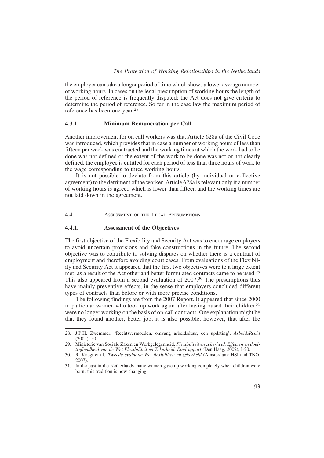the employer can take a longer period of time which shows a lower average number of working hours. In cases on the legal presumption of working hours the length of the period of reference is frequently disputed; the Act does not give criteria to determine the period of reference. So far in the case law the maximum period of reference has been one year.28

#### 4.3.1. Minimum Remuneration per Call

Another improvement for on call workers was that Article 628a of the Civil Code was introduced, which provides that in case a number of working hours of less than fifteen per week was contracted and the working times at which the work had to be done was not defined or the extent of the work to be done was not or not clearly defined, the employee is entitled for each period of less than three hours of work to the wage corresponding to three working hours.

It is not possible to deviate from this article (by individual or collective agreement) to the detriment of the worker. Article 628a is relevant only if a number of working hours is agreed which is lower than fifteen and the working times are not laid down in the agreement.

4.4. ASSESSMENT OF THE LEGAL PRESUMPTIONS

# 4.4.1. Assessment of the Objectives

The first objective of the Flexibility and Security Act was to encourage employers to avoid uncertain provisions and fake constructions in the future. The second objective was to contribute to solving disputes on whether there is a contract of employment and therefore avoiding court cases. From evaluations of the Flexibility and Security Act it appeared that the first two objectives were to a large extent met: as a result of the Act other and better formulated contracts came to be used.29 This also appeared from a second evaluation of 2007.<sup>30</sup> The presumptions thus have mainly preventive effects, in the sense that employers concluded different types of contracts than before or with more precise conditions.

The following findings are from the 2007 Report. It appeared that since 2000 in particular women who took up work again after having raised their children<sup>31</sup> were no longer working on the basis of on-call contracts. One explanation might be that they found another, better job; it is also possible, however, that after the

<sup>28.</sup> J.P.H. Zwemmer, 'Rechtsvermoeden, omvang arbeidsduur, een updating', ArbeidsRecht (2005), 50.

<sup>29.</sup> Ministerie van Sociale Zaken en Werkgelegenheid, Flexibiliteit en zekerheid, Effecten en doeltreffendheid van de Wet Flexibiliteit en Zekerheid. Eindrapport (Den Haag, 2002), I-20.

<sup>30.</sup> R. Knegt et al., Tweede evaluatie Wet flexibiliteit en zekerheid (Amsterdam: HSI and TNO, 2007).

<sup>31.</sup> In the past in the Netherlands many women gave up working completely when children were born; this tradition is now changing.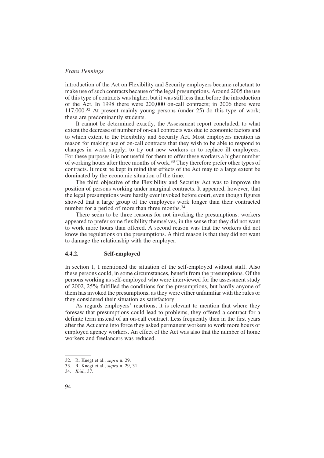introduction of the Act on Flexibility and Security employers became reluctant to make use of such contracts because of the legal presumptions. Around 2005 the use of this type of contracts was higher, but it was still less than before the introduction of the Act. In 1998 there were 200,000 on-call contracts; in 2006 there were 117,000.32 At present mainly young persons (under 25) do this type of work; these are predominantly students.

It cannot be determined exactly, the Assessment report concluded, to what extent the decrease of number of on-call contracts was due to economic factors and to which extent to the Flexibility and Security Act. Most employers mention as reason for making use of on-call contracts that they wish to be able to respond to changes in work supply; to try out new workers or to replace ill employees. For these purposes it is not useful for them to offer these workers a higher number of working hours after three months of work.33 They therefore prefer other types of contracts. It must be kept in mind that effects of the Act may to a large extent be dominated by the economic situation of the time.

The third objective of the Flexibility and Security Act was to improve the position of persons working under marginal contracts. It appeared, however, that the legal presumptions were hardly ever invoked before court, even though figures showed that a large group of the employees work longer than their contracted number for a period of more than three months.<sup>34</sup>

There seem to be three reasons for not invoking the presumptions: workers appeared to prefer some flexibility themselves, in the sense that they did not want to work more hours than offered. A second reason was that the workers did not know the regulations on the presumptions. A third reason is that they did not want to damage the relationship with the employer.

# 4.4.2. Self-employed

In section 1, I mentioned the situation of the self-employed without staff. Also these persons could, in some circumstances, benefit from the presumptions. Of the persons working as self-employed who were interviewed for the assessment study of 2002, 25% fulfilled the conditions for the presumptions, but hardly anyone of them has invoked the presumptions, as they were either unfamiliar with the rules or they considered their situation as satisfactory.

As regards employers' reactions, it is relevant to mention that where they foresaw that presumptions could lead to problems, they offered a contract for a definite term instead of an on-call contract. Less frequently then in the first years after the Act came into force they asked permanent workers to work more hours or employed agency workers. An effect of the Act was also that the number of home workers and freelancers was reduced.

<sup>32.</sup> R. Knegt et al., supra n. 29.

<sup>33.</sup> R. Knegt et al., supra n. 29, 31.

<sup>34.</sup> Ibid., 37.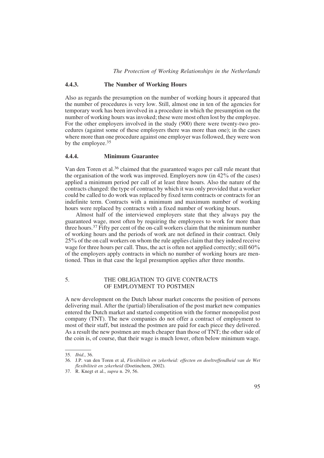#### 4.4.3. The Number of Working Hours

Also as regards the presumption on the number of working hours it appeared that the number of procedures is very low. Still, almost one in ten of the agencies for temporary work has been involved in a procedure in which the presumption on the number of working hours was invoked; these were most often lost by the employee. For the other employers involved in the study (900) there were twenty-two procedures (against some of these employers there was more than one); in the cases where more than one procedure against one employer was followed, they were won by the employee.<sup>35</sup>

#### 4.4.4. Minimum Guarantee

Van den Toren et al.<sup>36</sup> claimed that the guaranteed wages per call rule meant that the organisation of the work was improved. Employers now (in 42% of the cases) applied a minimum period per call of at least three hours. Also the nature of the contracts changed: the type of contract by which it was only provided that a worker could be called to do work was replaced by fixed term contracts or contracts for an indefinite term. Contracts with a minimum and maximum number of working hours were replaced by contracts with a fixed number of working hours.

Almost half of the interviewed employers state that they always pay the guaranteed wage, most often by requiring the employees to work for more than three hours.37 Fifty per cent of the on-call workers claim that the minimum number of working hours and the periods of work are not defined in their contract. Only 25% of the on call workers on whom the rule applies claim that they indeed receive wage for three hours per call. Thus, the act is often not applied correctly; still 60% of the employers apply contracts in which no number of working hours are mentioned. Thus in that case the legal presumption applies after three months.

# 5. THE OBLIGATION TO GIVE CONTRACTS OF EMPLOYMENT TO POSTMEN

A new development on the Dutch labour market concerns the position of persons delivering mail. After the (partial) liberalisation of the post market new companies entered the Dutch market and started competition with the former monopolist post company (TNT). The new companies do not offer a contract of employment to most of their staff, but instead the postmen are paid for each piece they delivered. As a result the new postmen are much cheaper than those of TNT; the other side of the coin is, of course, that their wage is much lower, often below minimum wage.

<sup>35.</sup> Ibid., 36.

<sup>36.</sup> J.P. van den Toren et al, Flexibiliteit en zekerheid: effecten en doeltreffendheid van de Wet flexibiliteit en zekerheid (Doetinchem, 2002).

<sup>37.</sup> R. Knegt et al., supra n. 29, 56.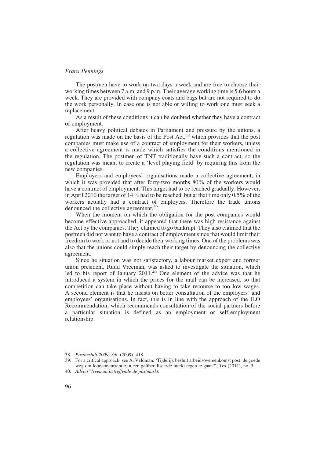The postmen have to work on two days a week and are free to choose their working times between 7 a.m. and 9 p.m. Their average working time is 5.6 hours a week. They are provided with company coats and bags but are not required to do the work personally. In case one is not able or willing to work one must seek a replacement.

As a result of these conditions it can be doubted whether they have a contract of employment.

After heavy political debates in Parliament and pressure by the unions, a regulation was made on the basis of the Post Act,  $38$  which provides that the post companies must make use of a contract of employment for their workers, unless a collective agreement is made which satisfies the conditions mentioned in the regulation. The postmen of TNT traditionally have such a contract, so the regulation was meant to create a 'level playing field' by requiring this from the new companies.

Employers and employees' organisations made a collective agreement, in which it was provided that after forty-two months 80% of the workers would have a contract of employment. This target had to be reached gradually. However, in April 2010 the target of 14% had to be reached, but at that time only 0.5% of the workers actually had a contract of employers. Therefore the trade unions denounced the collective agreement.39

When the moment on which the obligation for the post companies would become effective approached, it appeared that there was high resistance against the Act by the companies. They claimed to go bankrupt. They also claimed that the postmen did not want to have a contract of employment since that would limit their freedom to work or not and to decide their working times. One of the problems was also that the unions could simply reach their target by denouncing the collective agreement.

Since he situation was not satisfactory, a labour market expert and former union president, Ruud Vreeman, was asked to investigate the situation, which led to his report of January 2011.40 One element of the advice was that he introduced a system in which the prices for the mail can be increased, so that competition can take place without having to take recourse to too low wages. A second element is that he insists on better consultation of the employers' and employees' organisations. In fact, this is in line with the approach of the ILO Recommendation, which recommends consultation of the social partners before a particular situation is defined as an employment or self-employment relationship.

<sup>38.</sup> Postbesluit 2009, Stb. (2009), 418.

<sup>39.</sup> For a critical approach, see A. Veldman, 'Tijdelijk besluit arbeidsovereenkomst post: de goede weg om loonconcurrentie in een geliberaliseerde markt tegen te gaan?', Tra (2011), no. 3.

<sup>40.</sup> Advies Vreeman betreffende de postmarkt.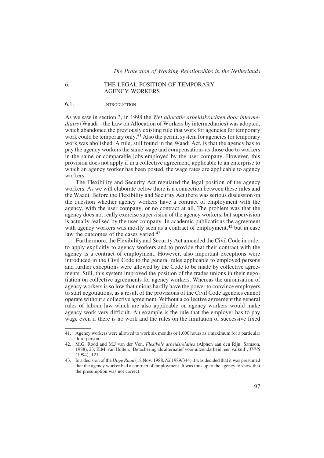#### 6. THE LEGAL POSITION OF TEMPORARY AGENCY WORKERS

#### 6.1. INTRODUCTION

As we saw in section 3, in 1998 the Wet allocatie arbeidskrachten door intermediairs (Waadi – the Law on Allocation of Workers by intermediaries) was adopted, which abandoned the previously existing rule that work for agencies for temporary work could be temporary only.<sup>41</sup> Also the permit system for agencies for temporary work was abolished. A rule, still found in the Waadi Act, is that the agency has to pay the agency workers the same wage and compensations as those due to workers in the same or comparable jobs employed by the user company. However, this provision does not apply if in a collective agreement, applicable to an enterprise to which an agency worker has been posted, the wage rates are applicable to agency workers.

The Flexibility and Security Act regulated the legal position of the agency workers. As we will elaborate below there is a connection between these rules and the Waadi. Before the Flexibility and Security Act there was serious discussion on the question whether agency workers have a contract of employment with the agency, with the user company, or no contract at all. The problem was that the agency does not really exercise supervision of the agency workers, but supervision is actually realised by the user company. In academic publications the agreement with agency workers was mostly seen as a contract of employment,<sup>42</sup> but in case law the outcomes of the cases varied.<sup>43</sup>

Furthermore, the Flexibility and Security Act amended the Civil Code in order to apply explicitly to agency workers and to provide that their contract with the agency is a contract of employment. However, also important exceptions were introduced in the Civil Code to the general rules applicable to employed persons and further exceptions were allowed by the Code to be made by collective agreements. Still, this system improved the position of the trades unions in their negotiation on collective agreements for agency workers. Whereas the unionisation of agency workers is so low that unions hardly have the power to convince employers to start negotiations, as a result of the provisions of the Civil Code agencies cannot operate without a collective agreement. Without a collective agreement the general rules of labour law which are also applicable on agency workers would make agency work very difficult. An example is the rule that the employer has to pay wage even if there is no work and the rules on the limitation of successive fixed

<sup>41.</sup> Agency workers were allowed to work six months or 1,000 hours as a maximum for a particular third person.

<sup>42.</sup> M.G. Rood and M.J van der Ven, Flexibele arbeidsrelaties (Alphen aan den Rijn: Samson, 1988), 23; K.M. van Holten, 'Detachering als alternatief voor uitzendarbeid: een valkuil', TVVS (1994), 121.

<sup>43.</sup> In a decision of the *Hoge Raad* (18 Nov. 1988, NJ 1989/344) it was decided that it was presumed that the agency worker had a contract of employment. It was thus up to the agency to show that the presumption was not correct.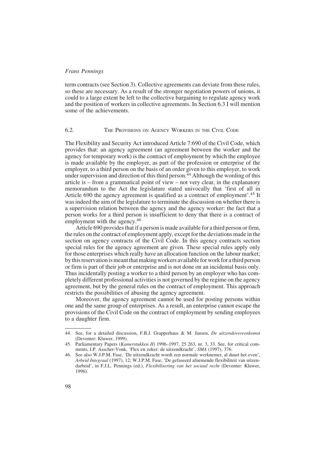term contracts (see Section 3). Collective agreements can deviate from these rules, so these are necessary. As a result of the stronger negotiation powers of unions, it could to a large extent be left to the collective bargaining to regulate agency work and the position of workers in collective agreements. In Section 6.3 I will mention some of the achievements.

#### 6.2. THE PROVISIONS ON AGENCY WORKERS IN THE CIVIL CODE

The Flexibility and Security Act introduced Article 7:690 of the Civil Code, which provides that: an agency agreement (an agreement between the worker and the agency for temporary work) is the contract of employment by which the employee is made available by the employer, as part of the profession or enterprise of the employer, to a third person on the basis of an order given to this employer, to work under supervision and direction of this third person.<sup> $44$ </sup> Although the wording of this article is – from a grammatical point of view – not very clear, in the explanatory memorandum to the Act the legislature stated univocally that 'first of all in Article 690 the agency agreement is qualified as a contract of employment'.<sup>45</sup> It was indeed the aim of the legislature to terminate the discussion on whether there is a supervision relation between the agency and the agency worker: the fact that a person works for a third person is insufficient to deny that there is a contract of employment with the agency.<sup>46</sup>

Article 690 provides that if a person is made available for a third person or firm, the rules on the contract of employment apply, except for the deviations made in the section on agency contracts of the Civil Code. In this agency contracts section special rules for the agency agreement are given. These special rules apply only for those enterprises which really have an allocation function on the labour market; bythis reservationis meant that making workers available for work for athird person or firm is part of their job or enterprise and is not done on an incidental basis only. Thus incidentally posting a worker to a third person by an employer who has completely different professional activities is not governed by the regime on the agency agreement, but by the general rules on the contract of employment. This approach restricts the possibilities of abusing the agency agreement.

Moreover, the agency agreement cannot be used for posting persons within one and the same group of enterprises. As a result, an enterprise cannot escape the provisions of the Civil Code on the contract of employment by sending employees to a daughter firm.

<sup>44.</sup> See, for a detailed discussion, F.B.J. Grapperhaus & M. Jansen, *De uitzendovereenkomst* (Deventer: Kluwer, 1999).

<sup>45.</sup> Parliamentary Papers (Kamerstukken II) 1996–1997, 25 263, nr. 3, 33. See, for critical comments, I.P. Asscher-Vonk, 'Flex en zeker: de uitzendkracht', SMA (1997), 376.

<sup>46.</sup> See also W.J.P.M. Fase, 'De uitzendkracht wordt een normale werknemer, al duurt het even', Arbeid Integraal (1997), 12; W.J.P.M. Fase, 'De gefaseerd afnemende flexibiliteit van uitzendarbeid', in F.J.L. Pennings (ed.), *Flexibilisering van het sociaal recht* (Deventer: Kluwer, 1996).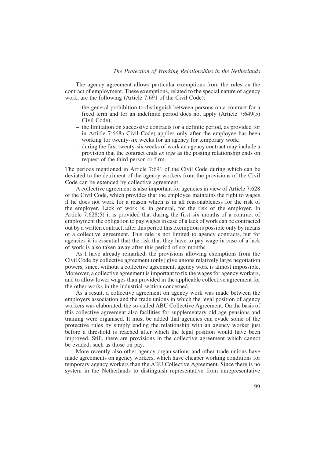The agency agreement allows particular exemptions from the rules on the contract of employment. These exemptions, related to the special nature of agency work, are the following (Article 7:691 of the Civil Code):

- the general prohibition to distinguish between persons on a contract for a fixed term and for an indefinite period does not apply (Article 7:649(5) Civil Code);
- the limitation on successive contracts for a definite period, as provided for in Article 7:668a Civil Code) applies only after the employee has been working for twenty-six weeks for an agency for temporary work;
- during the first twenty-six weeks of work an agency contract may include a provision that the contract ends *ex lege* as the posting relationship ends on request of the third person or firm.

The periods mentioned in Article 7:691 of the Civil Code during which can be deviated to the detriment of the agency workers from the provisions of the Civil Code can be extended by collective agreement.

A collective agreement is also important for agencies in view of Article 7:628 of the Civil Code, which provides that the employee maintains the right to wages if he does not work for a reason which is in all reasonableness for the risk of the employer. Lack of work is, in general, for the risk of the employer. In Article 7:628(5) it is provided that during the first six months of a contract of employment the obligation to pay wages in case of a lack of work can be contracted out by a written contract; after this period this exemption is possible only by means of a collective agreement. This rule is not limited to agency contracts, but for agencies it is essential that the risk that they have to pay wage in case of a lack of work is also taken away after this period of six months.

As I have already remarked, the provisions allowing exemptions from the Civil Code by collective agreement (only) give unions relatively large negotiation powers, since, without a collective agreement, agency work is almost impossible. Moreover, a collective agreement is important to fix the wages for agency workers, and to allow lower wages than provided in the applicable collective agreement for the other works in the industrial section concerned.

As a result, a collective agreement on agency work was made between the employers association and the trade unions in which the legal position of agency workers was elaborated, the so-called ABU Collective Agreement. On the basis of this collective agreement also facilities for supplementary old age pensions and training were organised. It must be added that agencies can evade some of the protective rules by simply ending the relationship with an agency worker just before a threshold is reached after which the legal position would have been improved. Still, there are provisions in the collective agreement which cannot be evaded, such as those on pay.

More recently also other agency organisations and other trade unions have made agreements on agency workers, which have cheaper working conditions for temporary agency workers than the ABU Collective Agreement. Since there is no system in the Netherlands to distinguish representative from unrepresentative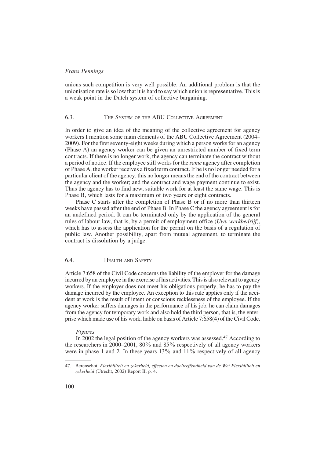unions such competition is very well possible. An additional problem is that the unionisation rate is so low that it is hard to say which union is representative. This is a weak point in the Dutch system of collective bargaining.

# 6.3. THE SYSTEM OF THE ABU COLLECTIVE AGREEMENT

In order to give an idea of the meaning of the collective agreement for agency workers I mention some main elements of the ABU Collective Agreement (2004– 2009). For the first seventy-eight weeks during which a person works for an agency (Phase A) an agency worker can be given an unrestricted number of fixed term contracts. If there is no longer work, the agency can terminate the contract without a period of notice. If the employee still works for the same agency after completion of Phase A, the worker receives a fixed term contract. If he is no longer needed for a particular client of the agency, this no longer means the end of the contract between the agency and the worker; and the contract and wage payment continue to exist. Thus the agency has to find new, suitable work for at least the same wage. This is Phase B, which lasts for a maximum of two years or eight contracts.

Phase C starts after the completion of Phase B or if no more than thirteen weeks have passed after the end of Phase B. In Phase C the agency agreement is for an undefined period. It can be terminated only by the application of the general rules of labour law, that is, by a permit of employment office  $(Uwv)$  werkbedrijf), which has to assess the application for the permit on the basis of a regulation of public law. Another possibility, apart from mutual agreement, to terminate the contract is dissolution by a judge.

# 6.4. HEALTH AND SAFETY

Article 7:658 of the Civil Code concerns the liability of the employer for the damage incurred by an employee in the exercise of his activities. This is also relevant to agency workers. If the employer does not meet his obligations properly, he has to pay the damage incurred by the employee. An exception to this rule applies only if the accident at work is the result of intent or conscious recklessness of the employee. If the agency worker suffers damages in the performance of his job, he can claim damages from the agency for temporary work and also hold the third person, that is, the enterprise which made use of his work, liable on basis of Article 7:658(4) of the Civil Code.

# Figures

In 2002 the legal position of the agency workers was assessed.<sup>47</sup> According to the researchers in 2000–2001, 80% and 85% respectively of all agency workers were in phase 1 and 2. In these years  $13\%$  and  $11\%$  respectively of all agency

<sup>47.</sup> Berenschot, Flexibiliteit en zekerheid, effecten en doeltreffendheid van de Wet Flexibiliteit en zekerheid (Utrecht, 2002) Report II, p. 4.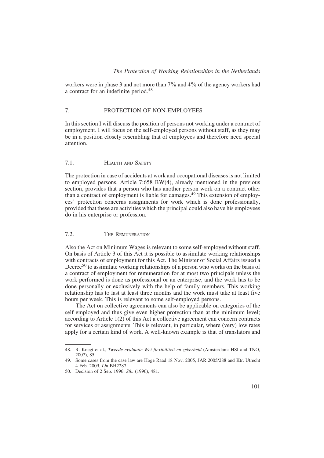workers were in phase 3 and not more than 7% and 4% of the agency workers had a contract for an indefinite period.48

# 7. PROTECTION OF NON-EMPLOYEES

In this section I will discuss the position of persons not working under a contract of employment. I will focus on the self-employed persons without staff, as they may be in a position closely resembling that of employees and therefore need special attention.

# 7.1. HEALTH AND SAFETY

The protection in case of accidents at work and occupational diseases is not limited to employed persons. Article 7:658 BW(4), already mentioned in the previous section, provides that a person who has another person work on a contract other than a contract of employment is liable for damages.<sup>49</sup> This extension of employees' protection concerns assignments for work which is done professionally, provided that these are activities which the principal could also have his employees do in his enterprise or profession.

# 7.2. THE REMUNERATION

Also the Act on Minimum Wages is relevant to some self-employed without staff. On basis of Article 3 of this Act it is possible to assimilate working relationships with contracts of employment for this Act. The Minister of Social Affairs issued a Decree<sup>50</sup> to assimilate working relationships of a person who works on the basis of a contract of employment for remuneration for at most two principals unless the work performed is done as professional or an enterprise, and the work has to be done personally or exclusively with the help of family members. This working relationship has to last at least three months and the work must take at least five hours per week. This is relevant to some self-employed persons.

The Act on collective agreements can also be applicable on categories of the self-employed and thus give even higher protection than at the minimum level; according to Article 1(2) of this Act a collective agreement can concern contracts for services or assignments. This is relevant, in particular, where (very) low rates apply for a certain kind of work. A well-known example is that of translators and

<sup>48.</sup> R. Knegt et al., Tweede evaluatie Wet flexibiliteit en zekerheid (Amsterdam: HSI and TNO, 2007), 85.

<sup>49.</sup> Some cases from the case law are Hoge Raad 18 Nov. 2005, JAR 2005/288 and Ktr. Utrecht 4 Feb. 2009, Ljn BH2287.

<sup>50.</sup> Decision of 2 Sep. 1996, Stb. (1996), 481.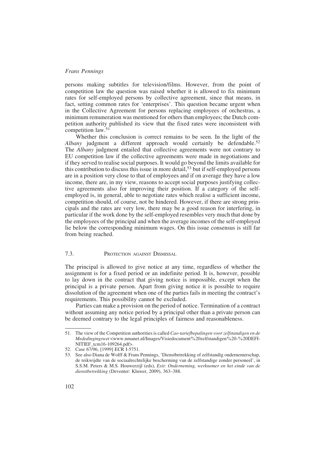persons making subtitles for television/films. However, from the point of competition law the question was raised whether it is allowed to fix minimum rates for self-employed persons by collective agreement, since that means, in fact, setting common rates for 'enterprises'. This question became urgent when in the Collective Agreement for persons replacing employees of orchestras, a minimum remuneration was mentioned for others than employees; the Dutch competition authority published its view that the fixed rates were inconsistent with competition law  $51$ 

Whether this conclusion is correct remains to be seen. In the light of the Albany judgment a different approach would certainly be defendable.<sup>52</sup> The *Albany* judgment entailed that collective agreements were not contrary to EU competition law if the collective agreements were made in negotiations and if they served to realise social purposes. It would go beyond the limits available for this contribution to discuss this issue in more detail,  $53$  but if self-employed persons are in a position very close to that of employees and if on average they have a low income, there are, in my view, reasons to accept social purposes justifying collective agreements also for improving their position. If a category of the selfemployed is, in general, able to negotiate rates which realise a sufficient income, competition should, of course, not be hindered. However, if there are strong principals and the rates are very low, there may be a good reason for interfering, in particular if the work done by the self-employed resembles very much that done by the employees of the principal and when the average incomes of the self-employed lie below the corresponding minimum wages. On this issue consensus is still far from being reached.

# 7.3. PROTECTION AGAINST DISMISSAL

The principal is allowed to give notice at any time, regardless of whether the assignment is for a fixed period or an indefinite period. It is, however, possible to lay down in the contract that giving notice is impossible, except when the principal is a private person. Apart from giving notice it is possible to require dissolution of the agreement when one of the parties fails in meeting the contract's requirements. This possibility cannot be excluded.

Parties can make a provision on the period of notice. Termination of a contract without assuming any notice period by a principal other than a private person can be deemed contrary to the legal principles of fairness and reasonableness.

<sup>51.</sup> The view of the Competition authorities is called Cao-tariefbepalingen voor zelfstandigen en de Mededingingswet <www.nmanet.nl/Images/Visiedocument%20zelfstandigen%20-%20DEFI-NITIEF\_tcm16-109264.pdf>.

<sup>52.</sup> Case 67/96, [1999] ECR I-5751.

<sup>53.</sup> See also Diana de Wolff & Frans Pennings, 'Dienstbetrekking of zelfstandig ondernemerschap, de reikwijdte van de sociaalrechtelijke bescherming van de zelfstandige zonder personeel', in S.S.M. Peters & M.S. Houwerzijl (eds), Exit: Onderneming, werknemer en het einde van de dienstbetrekking (Deventer: Kluwer, 2009), 363–388.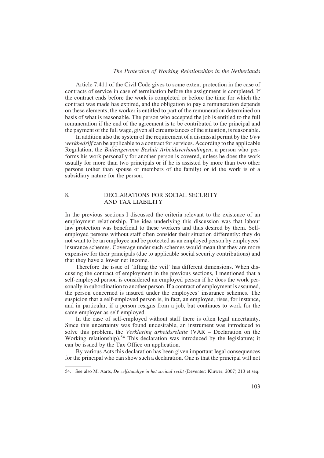#### The Protection of Working Relationships in the Netherlands

Article 7:411 of the Civil Code gives to some extent protection in the case of contracts of service in case of termination before the assignment is completed. If the contract ends before the work is completed or before the time for which the contract was made has expired, and the obligation to pay a remuneration depends on these elements, the worker is entitled to part of the remuneration determined on basis of what is reasonable. The person who accepted the job is entitled to the full remuneration if the end of the agreement is to be contributed to the principal and the payment of the full wage, given all circumstances of the situation, is reasonable.

In addition also the system of the requirement of a dismissal permit by the Uwv werkbedrijf can be applicable to a contract for services. According to the applicable Regulation, the Buitengewoon Besluit Arbeidsverhoudingen, a person who performs his work personally for another person is covered, unless he does the work usually for more than two principals or if he is assisted by more than two other persons (other than spouse or members of the family) or id the work is of a subsidiary nature for the person.

#### 8. DECLARATIONS FOR SOCIAL SECURITY AND TAX LIABILITY

In the previous sections I discussed the criteria relevant to the existence of an employment relationship. The idea underlying this discussion was that labour law protection was beneficial to these workers and thus desired by them. Selfemployed persons without staff often consider their situation differently: they do not want to be an employee and be protected as an employed person by employees' insurance schemes. Coverage under such schemes would mean that they are more expensive for their principals (due to applicable social security contributions) and that they have a lower net income.

Therefore the issue of 'lifting the veil' has different dimensions. When discussing the contract of employment in the previous sections, I mentioned that a self-employed person is considered an employed person if he does the work personally in subordination to another person. If a contract of employment is assumed, the person concerned is insured under the employees' insurance schemes. The suspicion that a self-employed person is, in fact, an employee, rises, for instance, and in particular, if a person resigns from a job, but continues to work for the same employer as self-employed.

In the case of self-employed without staff there is often legal uncertainty. Since this uncertainty was found undesirable, an instrument was introduced to solve this problem, the *Verklaring arbeidsrelatie* (VAR – Declaration on the Working relationship).<sup>54</sup> This declaration was introduced by the legislature; it can be issued by the Tax Office on application.

By various Acts this declaration has been given important legal consequences for the principal who can show such a declaration. One is that the principal will not

<sup>54.</sup> See also M. Aarts, De zelfstandige in het sociaal recht (Deventer: Kluwer, 2007) 213 et seq.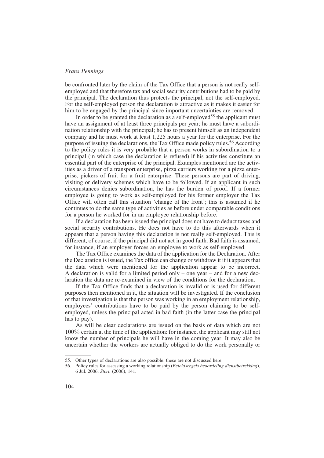be confronted later by the claim of the Tax Office that a person is not really selfemployed and that therefore tax and social security contributions had to be paid by the principal. The declaration thus protects the principal, not the self-employed. For the self-employed person the declaration is attractive as it makes it easier for him to be engaged by the principal since important uncertainties are removed.

In order to be granted the declaration as a self-employed<sup>55</sup> the applicant must have an assignment of at least three principals per year; he must have a subordination relationship with the principal; he has to present himself as an independent company and he must work at least 1,225 hours a year for the enterprise. For the purpose of issuing the declarations, the Tax Office made policy rules.<sup>56</sup> According to the policy rules it is very probable that a person works in subordination to a principal (in which case the declaration is refused) if his activities constitute an essential part of the enterprise of the principal. Examples mentioned are the activities as a driver of a transport enterprise, pizza carriers working for a pizza enterprise, pickers of fruit for a fruit enterprise. These persons are part of driving, visiting or delivery schemes which have to be followed. If an applicant in such circumstances denies subordination, he has the burden of proof. If a former employee is going to work as self-employed for his former employer the Tax Office will often call this situation 'change of the front'; this is assumed if he continues to do the same type of activities as before under comparable conditions for a person he worked for in an employee relationship before.

If a declaration has been issued the principal does not have to deduct taxes and social security contributions. He does not have to do this afterwards when it appears that a person having this declaration is not really self-employed. This is different, of course, if the principal did not act in good faith. Bad faith is assumed, for instance, if an employer forces an employee to work as self-employed.

The Tax Office examines the data of the application for the Declaration. After the Declaration is issued, the Tax office can change or withdraw it if it appears that the data which were mentioned for the application appear to be incorrect. A declaration is valid for a limited period only – one year – and for a new declaration the data are re-examined in view of the conditions for the declaration.

If the Tax Office finds that a declaration is invalid or is used for different purposes then mentioned in it, the situation will be investigated. If the conclusion of that investigation is that the person was working in an employment relationship, employees' contributions have to be paid by the person claiming to be selfemployed, unless the principal acted in bad faith (in the latter case the principal has to pay).

As will be clear declarations are issued on the basis of data which are not 100% certain at the time of the application: for instance, the applicant may still not know the number of principals he will have in the coming year. It may also be uncertain whether the workers are actually obliged to do the work personally or

<sup>55.</sup> Other types of declarations are also possible; these are not discussed here.

<sup>56.</sup> Policy rules for assessing a working relationship (Beleidsregels beoordeling dienstbetrekking), 6 Jul. 2006, Stcrt. (2006), 141.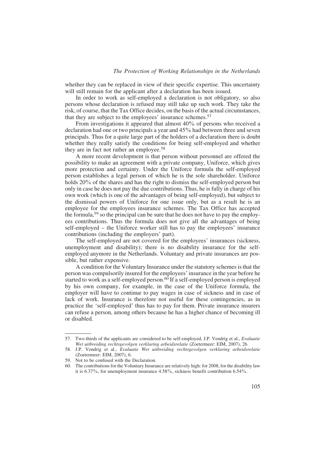whether they can be replaced in view of their specific expertise. This uncertainty will still remain for the applicant after a declaration has been issued.

In order to work as self-employed a declaration is not obligatory, so also persons whose declaration is refused may still take up such work. They take the risk, of course, that the Tax Office decides, on the basis of the actual circumstances, that they are subject to the employees' insurance schemes.57

From investigations it appeared that almost 40% of persons who received a declaration had one or two principals a year and 45% had between three and seven principals. Thus for a quite large part of the holders of a declaration there is doubt whether they really satisfy the conditions for being self-employed and whether they are in fact not rather an employee.<sup>58</sup>

A more recent development is that person without personnel are offered the possibility to make an agreement with a private company, Uniforce, which gives more protection and certainty. Under the Uniforce formula the self-employed person establishes a legal person of which he is the sole shareholder. Uniforce holds 20% of the shares and has the right to dismiss the self-employed person but only in case he does not pay the due contributions. Thus, he is fully in charge of his own work (which is one of the advantages of being self-employed), but subject to the dismissal powers of Uniforce for one issue only, but as a result he is an employee for the employees insurance schemes. The Tax Office has accepted the formula,59 so the principal can be sure that he does not have to pay the employees contributions. Thus the formula does not give all the advantages of being self-employed – the Uniforce worker still has to pay the employees' insurance contributions (including the employers' part).

The self-employed are not covered for the employees' insurances (sickness, unemployment and disability); there is no disability insurance for the selfemployed anymore in the Netherlands. Voluntary and private insurances are possible, but rather expensive.

A condition for the Voluntary Insurance under the statutory schemes is that the person was compulsorily insured for the employees' insurance in the year before he started to work as a self-employed person.<sup>60</sup> If a self-employed person is employed by his own company, for example, in the case of the Uniforce formula, the employer will have to continue to pay wages in case of sickness and in case of lack of work. Insurance is therefore not useful for these contingencies, as in practice the 'self-employed' thus has to pay for them. Private insurance insurers can refuse a person, among others because he has a higher chance of becoming ill or disabled.

<sup>57.</sup> Two-thirds of the applicants are considered to be self-employed, J.P. Vendrig et al., Evaluatie Wet uitbreiding rechtsgevolgen verklaring arbeidsrelatie (Zoetermeer: EIM, 2007), 26.

<sup>58.</sup> J.P. Vendrig et al., Evaluatie Wet uitbreiding rechtsgevolgen verklaring arbeidsrelatie (Zoetermeer: EIM, 2007), 6.

<sup>59.</sup> Not to be confused with the Declaration.

<sup>60.</sup> The contributions for the Voluntary Insurance are relatively high: for 2008, for the disability law it is 6.37%, for unemployment insurance 4.58%, sickness benefit contribution 6.54%.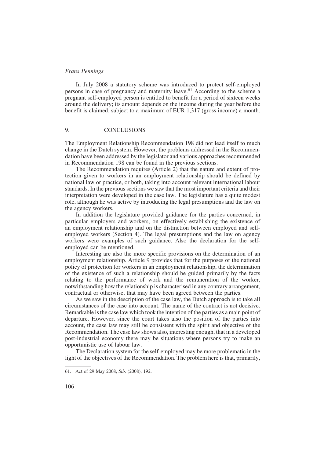In July 2008 a statutory scheme was introduced to protect self-employed persons in case of pregnancy and maternity leave.<sup>61</sup> According to the scheme a pregnant self-employed person is entitled to benefit for a period of sixteen weeks around the delivery; its amount depends on the income during the year before the benefit is claimed, subject to a maximum of EUR 1,317 (gross income) a month.

#### 9. CONCLUSIONS

The Employment Relationship Recommendation 198 did not lead itself to much change in the Dutch system. However, the problems addressed in the Recommendation have been addressed by the legislator and various approaches recommended in Recommendation 198 can be found in the previous sections.

The Recommendation requires (Article 2) that the nature and extent of protection given to workers in an employment relationship should be defined by national law or practice, or both, taking into account relevant international labour standards. In the previous sections we saw that the most important criteria and their interpretation were developed in the case law. The legislature has a quite modest role, although he was active by introducing the legal presumptions and the law on the agency workers.

In addition the legislature provided guidance for the parties concerned, in particular employers and workers, on effectively establishing the existence of an employment relationship and on the distinction between employed and selfemployed workers (Section 4). The legal presumptions and the law on agency workers were examples of such guidance. Also the declaration for the selfemployed can be mentioned.

Interesting are also the more specific provisions on the determination of an employment relationship. Article 9 provides that for the purposes of the national policy of protection for workers in an employment relationship, the determination of the existence of such a relationship should be guided primarily by the facts relating to the performance of work and the remuneration of the worker, notwithstanding how the relationship is characterised in any contrary arrangement, contractual or otherwise, that may have been agreed between the parties.

As we saw in the description of the case law, the Dutch approach is to take all circumstances of the case into account. The name of the contract is not decisive. Remarkable is the case law which took the intention of the parties as a main point of departure. However, since the court takes also the position of the parties into account, the case law may still be consistent with the spirit and objective of the Recommendation. The case law shows also, interesting enough, that in a developed post-industrial economy there may be situations where persons try to make an opportunistic use of labour law.

The Declaration system for the self-employed may be more problematic in the light of the objectives of the Recommendation. The problem here is that, primarily,

<sup>61.</sup> Act of 29 May 2008, Stb. (2008), 192.